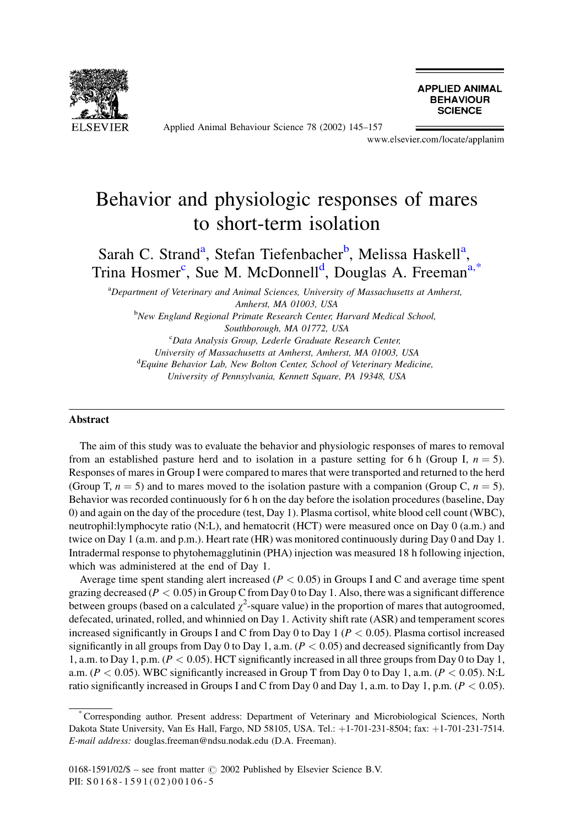

Applied Animal Behaviour Science 78 (2002) 145-157

**APPLIED ANIMAL BEHAVIOUR SCIENCE** 

www.elsevier.com/locate/applanim

# Behavior and physiologic responses of mares to short-term isolation

Sarah C. Strand<sup>a</sup>, Stefan Tiefenbacher<sup>b</sup>, Melissa Haskell<sup>a</sup>, Trina Hosmer<sup>c</sup>, Sue M. McDonnell<sup>d</sup>, Douglas A. Freeman<sup>a,\*</sup>

<sup>a</sup>Department of Veterinary and Animal Sciences, University of Massachusetts at Amherst, Amherst, MA 01003, USA

<sup>b</sup>New England Regional Primate Research Center, Harvard Medical School, Southborough, MA 01772, USA

<sup>c</sup>Data Analysis Group, Lederle Graduate Research Center, University of Massachusetts at Amherst, Amherst, MA 01003, USA <sup>d</sup>Equine Behavior Lab, New Bolton Center, School of Veterinary Medicine, University of Pennsylvania, Kennett Square, PA 19348, USA

#### **Abstract**

The aim of this study was to evaluate the behavior and physiologic responses of mares to removal from an established pasture herd and to isolation in a pasture setting for 6 h (Group I,  $n = 5$ ). Responses of mares in Group I were compared to mares that were transported and returned to the herd (Group T,  $n = 5$ ) and to mares moved to the isolation pasture with a companion (Group C,  $n = 5$ ). Behavior was recorded continuously for 6 h on the day before the isolation procedures (baseline, Day 0) and again on the day of the procedure (test, Day 1). Plasma cortisol, white blood cell count (WBC), neutrophil: lymphocyte ratio (N:L), and hematocrit (HCT) were measured once on Day 0 (a.m.) and twice on Day 1 (a.m. and p.m.). Heart rate (HR) was monitored continuously during Day 0 and Day 1. Intradermal response to phytohemagglutinin (PHA) injection was measured 18 h following injection, which was administered at the end of Day 1.

Average time spent standing alert increased ( $P < 0.05$ ) in Groups I and C and average time spent grazing decreased ( $P < 0.05$ ) in Group C from Day 0 to Day 1. Also, there was a significant difference between groups (based on a calculated  $\chi^2$ -square value) in the proportion of mares that autogroomed, defecated, urinated, rolled, and whinnied on Day 1. Activity shift rate (ASR) and temperament scores increased significantly in Groups I and C from Day 0 to Day 1 ( $P < 0.05$ ). Plasma cortisol increased significantly in all groups from Day 0 to Day 1, a.m.  $(P < 0.05)$  and decreased significantly from Day 1, a.m. to Day 1, p.m. ( $P < 0.05$ ). HCT significantly increased in all three groups from Day 0 to Day 1, a.m. ( $P < 0.05$ ). WBC significantly increased in Group T from Day 0 to Day 1, a.m. ( $P < 0.05$ ). N:L ratio significantly increased in Groups I and C from Day 0 and Day 1, a.m. to Day 1, p.m.  $(P < 0.05)$ .

Corresponding author. Present address: Department of Veterinary and Microbiological Sciences, North Dakota State University, Van Es Hall, Fargo, ND 58105, USA. Tel.: +1-701-231-8504; fax: +1-701-231-7514. E-mail address: douglas.freeman@ndsu.nodak.edu (D.A. Freeman).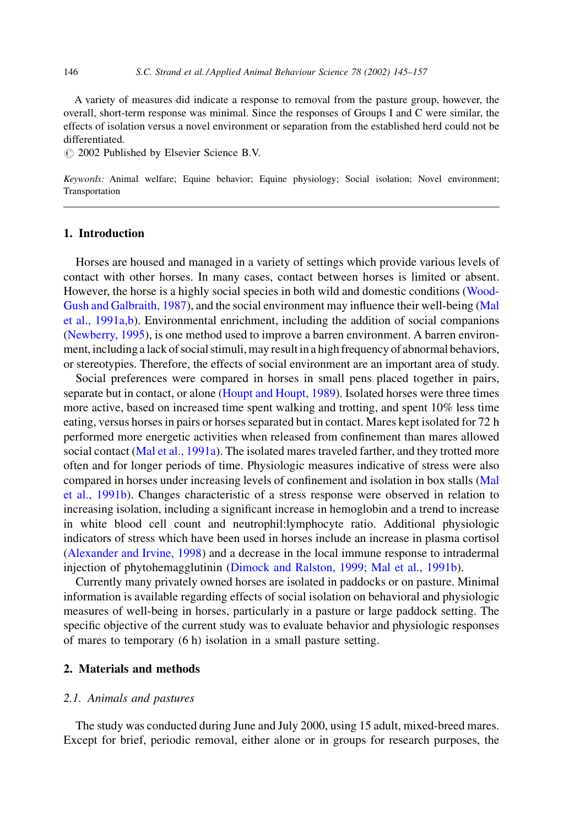A variety of measures did indicate a response to removal from the pasture group, however, the overall, short-term response was minimal. Since the responses of Groups I and C were similar, the effects of isolation versus a novel environment or separation from the established herd could not be differentiated.

© 2002 Published by Elsevier Science B.V.

Keywords: Animal welfare; Equine behavior; Equine physiology; Social isolation; Novel environment; Transportation

# 1. Introduction

Horses are housed and managed in a variety of settings which provide various levels of contact with other horses. In many cases, contact between horses is limited or absent. However, the horse is a highly social species in both wild and domestic conditions (Wood-Gush and Galbraith, 1987), and the social environment may influence their well-being (Mal et al., 1991a, b). Environmental enrichment, including the addition of social companions (Newberry, 1995), is one method used to improve a barren environment. A barren environment, including a lack of social stimuli, may result in a high frequency of abnormal behaviors, or stereotypies. Therefore, the effects of social environment are an important area of study.

Social preferences were compared in horses in small pens placed together in pairs, separate but in contact, or alone (Houpt and Houpt, 1989). Isolated horses were three times more active, based on increased time spent walking and trotting, and spent 10% less time eating, versus horses in pairs or horses separated but in contact. Mares kept isolated for 72 h performed more energetic activities when released from confinement than mares allowed social contact (Mal et al., 1991a). The isolated mares traveled farther, and they trotted more often and for longer periods of time. Physiologic measures indicative of stress were also compared in horses under increasing levels of confinement and isolation in box stalls (Mal et al., 1991b). Changes characteristic of a stress response were observed in relation to increasing isolation, including a significant increase in hemoglobin and a trend to increase in white blood cell count and neutrophil:lymphocyte ratio. Additional physiologic indicators of stress which have been used in horses include an increase in plasma cortisol (Alexander and Irvine, 1998) and a decrease in the local immune response to intradermal injection of phytohemagglutinin (Dimock and Ralston, 1999; Mal et al., 1991b).

Currently many privately owned horses are isolated in paddocks or on pasture. Minimal information is available regarding effects of social isolation on behavioral and physiologic measures of well-being in horses, particularly in a pasture or large paddock setting. The specific objective of the current study was to evaluate behavior and physiologic responses of mares to temporary  $(6 h)$  isolation in a small pasture setting.

## 2. Materials and methods

#### 2.1. Animals and pastures

The study was conducted during June and July 2000, using 15 adult, mixed-breed mares. Except for brief, periodic removal, either alone or in groups for research purposes, the

146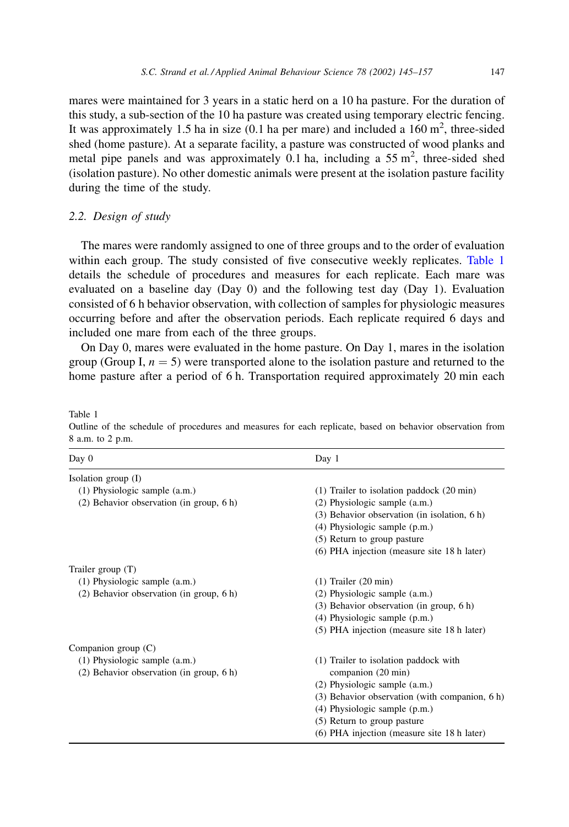mares were maintained for 3 years in a static herd on a 10 ha pasture. For the duration of this study, a sub-section of the 10 ha pasture was created using temporary electric fencing. It was approximately 1.5 ha in size (0.1 ha per mare) and included a  $160 \text{ m}^2$ , three-sided shed (home pasture). At a separate facility, a pasture was constructed of wood planks and metal pipe panels and was approximately 0.1 ha, including a 55  $\text{m}^2$ , three-sided shed (isolation pasture). No other domestic animals were present at the isolation pasture facility during the time of the study.

# 2.2. Design of study

The mares were randomly assigned to one of three groups and to the order of evaluation within each group. The study consisted of five consecutive weekly replicates. Table 1 details the schedule of procedures and measures for each replicate. Each mare was evaluated on a baseline day (Day 0) and the following test day (Day 1). Evaluation consisted of 6 h behavior observation, with collection of samples for physiologic measures occurring before and after the observation periods. Each replicate required 6 days and included one mare from each of the three groups.

On Day 0, mares were evaluated in the home pasture. On Day 1, mares in the isolation group (Group I,  $n = 5$ ) were transported alone to the isolation pasture and returned to the home pasture after a period of 6 h. Transportation required approximately 20 min each

# Table 1

Outline of the schedule of procedures and measures for each replicate, based on behavior observation from 8 a.m. to 2 p.m.

| Day $0$                                    | Day 1                                                 |  |  |
|--------------------------------------------|-------------------------------------------------------|--|--|
| Isolation group $(I)$                      |                                                       |  |  |
| (1) Physiologic sample (a.m.)              | $(1)$ Trailer to isolation paddock $(20 \text{ min})$ |  |  |
| (2) Behavior observation (in group, 6 h)   | $(2)$ Physiologic sample $(a.m.)$                     |  |  |
|                                            | (3) Behavior observation (in isolation, 6 h)          |  |  |
|                                            | $(4)$ Physiologic sample $(p.m.)$                     |  |  |
|                                            | (5) Return to group pasture                           |  |  |
|                                            | (6) PHA injection (measure site 18 h later)           |  |  |
| Trailer group $(T)$                        |                                                       |  |  |
| $(1)$ Physiologic sample $(a.m.)$          | $(1)$ Trailer $(20 \text{ min})$                      |  |  |
| $(2)$ Behavior observation (in group, 6 h) | $(2)$ Physiologic sample $(a.m.)$                     |  |  |
|                                            | $(3)$ Behavior observation (in group, 6 h)            |  |  |
|                                            | $(4)$ Physiologic sample $(p.m.)$                     |  |  |
|                                            | (5) PHA injection (measure site 18 h later)           |  |  |
| Companion group $(C)$                      |                                                       |  |  |
| (1) Physiologic sample (a.m.)              | (1) Trailer to isolation paddock with                 |  |  |
| $(2)$ Behavior observation (in group, 6 h) | companion (20 min)                                    |  |  |
|                                            | $(2)$ Physiologic sample $(a.m.)$                     |  |  |
|                                            | $(3)$ Behavior observation (with companion, 6 h)      |  |  |
|                                            | $(4)$ Physiologic sample $(p.m.)$                     |  |  |
|                                            | (5) Return to group pasture                           |  |  |
|                                            | (6) PHA injection (measure site 18 h later)           |  |  |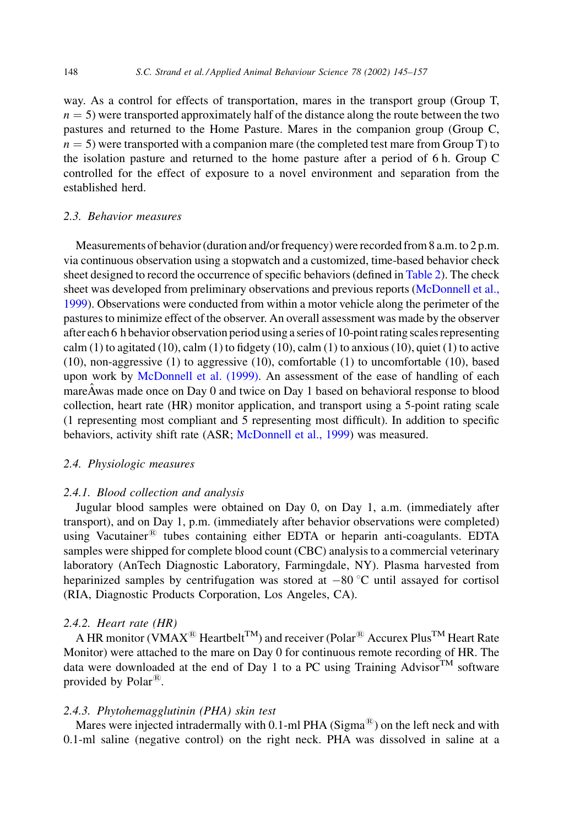way. As a control for effects of transportation, mares in the transport group (Group T,  $n = 5$ ) were transported approximately half of the distance along the route between the two pastures and returned to the Home Pasture. Mares in the companion group (Group C,  $n = 5$ ) were transported with a companion mare (the completed test mare from Group T) to the isolation pasture and returned to the home pasture after a period of 6 h. Group C controlled for the effect of exposure to a novel environment and separation from the established herd.

## 2.3. Behavior measures

Measurements of behavior (duration and/or frequency) were recorded from 8 a.m. to 2 p.m. via continuous observation using a stopwatch and a customized, time-based behavior check sheet designed to record the occurrence of specific behaviors (defined in Table 2). The check sheet was developed from preliminary observations and previous reports (McDonnell et al., 1999). Observations were conducted from within a motor vehicle along the perimeter of the pastures to minimize effect of the observer. An overall assessment was made by the observer after each 6 h behavior observation period using a series of 10-point rating scales representing calm (1) to agitated (10), calm (1) to fidgety (10), calm (1) to anxious (10), quiet (1) to active  $(10)$ , non-aggressive  $(1)$  to aggressive  $(10)$ , comfortable  $(1)$  to uncomfortable  $(10)$ , based upon work by McDonnell et al. (1999). An assessment of the ease of handling of each mareAwas made once on Day 0 and twice on Day 1 based on behavioral response to blood collection, heart rate (HR) monitor application, and transport using a 5-point rating scale (1 representing most compliant and 5 representing most difficult). In addition to specific behaviors, activity shift rate (ASR; McDonnell et al., 1999) was measured.

## 2.4. Physiologic measures

## 2.4.1. Blood collection and analysis

Jugular blood samples were obtained on Day 0, on Day 1, a.m. (immediately after transport), and on Day 1, p.m. (immediately after behavior observations were completed) using Vacutainer<sup>®</sup> tubes containing either EDTA or heparin anti-coagulants. EDTA samples were shipped for complete blood count (CBC) analysis to a commercial veterinary laboratory (AnTech Diagnostic Laboratory, Farmingdale, NY). Plasma harvested from heparinized samples by centrifugation was stored at  $-80^{\circ}$ C until assayed for cortisol (RIA, Diagnostic Products Corporation, Los Angeles, CA).

## 2.4.2. Heart rate  $(HR)$

A HR monitor (VMAX<sup>®</sup> Heartbelt<sup>TM</sup>) and receiver (Polar<sup>®</sup> Accurex Plus<sup>TM</sup> Heart Rate Monitor) were attached to the mare on Day 0 for continuous remote recording of HR. The data were downloaded at the end of Day 1 to a PC using Training Advisor  $^{TM}$  software provided by Polar<sup>®</sup>.

#### 2.4.3. Phytohemagglutinin (PHA) skin test

Mares were injected intradermally with 0.1-ml PHA (Sigma<sup> $\circledR$ </sup>) on the left neck and with 0.1-ml saline (negative control) on the right neck. PHA was dissolved in saline at a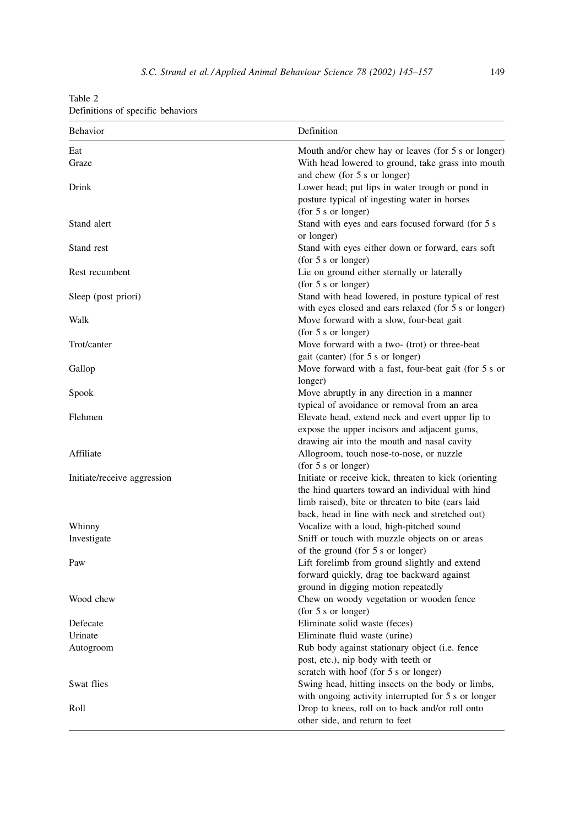<span id="page-4-0"></span>Table 2

| Definitions of specific behaviors |  |  |  |
|-----------------------------------|--|--|--|
|-----------------------------------|--|--|--|

| Definition<br>Behavior      |                                                                                    |  |
|-----------------------------|------------------------------------------------------------------------------------|--|
| Eat                         | Mouth and/or chew hay or leaves (for 5 s or longer)                                |  |
| Graze                       | With head lowered to ground, take grass into mouth<br>and chew (for 5 s or longer) |  |
| Drink                       | Lower head; put lips in water trough or pond in                                    |  |
|                             | posture typical of ingesting water in horses                                       |  |
|                             | (for 5 s or longer)                                                                |  |
| Stand alert                 | Stand with eyes and ears focused forward (for 5 s                                  |  |
|                             | or longer)                                                                         |  |
| Stand rest                  | Stand with eyes either down or forward, ears soft<br>(for 5 s or longer)           |  |
| Rest recumbent              | Lie on ground either sternally or laterally                                        |  |
|                             | (for 5 s or longer)                                                                |  |
| Sleep (post priori)         | Stand with head lowered, in posture typical of rest                                |  |
|                             | with eyes closed and ears relaxed (for 5 s or longer)                              |  |
| Walk                        | Move forward with a slow, four-beat gait                                           |  |
|                             | (for 5 s or longer)                                                                |  |
| Trot/canter                 | Move forward with a two- (trot) or three-beat                                      |  |
|                             | gait (canter) (for 5 s or longer)                                                  |  |
| Gallop                      | Move forward with a fast, four-beat gait (for 5 s or                               |  |
|                             | longer)                                                                            |  |
| Spook                       | Move abruptly in any direction in a manner                                         |  |
|                             | typical of avoidance or removal from an area                                       |  |
| Flehmen                     | Elevate head, extend neck and evert upper lip to                                   |  |
|                             | expose the upper incisors and adjacent gums,                                       |  |
|                             | drawing air into the mouth and nasal cavity                                        |  |
| Affiliate                   | Allogroom, touch nose-to-nose, or nuzzle                                           |  |
|                             | (for 5 s or longer)                                                                |  |
| Initiate/receive aggression | Initiate or receive kick, threaten to kick (orienting                              |  |
|                             | the hind quarters toward an individual with hind                                   |  |
|                             | limb raised), bite or threaten to bite (ears laid                                  |  |
|                             | back, head in line with neck and stretched out)                                    |  |
| Whinny                      | Vocalize with a loud, high-pitched sound                                           |  |
| Investigate                 | Sniff or touch with muzzle objects on or areas                                     |  |
| Paw                         | of the ground (for 5 s or longer)<br>Lift forelimb from ground slightly and extend |  |
|                             | forward quickly, drag toe backward against                                         |  |
|                             | ground in digging motion repeatedly                                                |  |
| Wood chew                   | Chew on woody vegetation or wooden fence                                           |  |
|                             | (for 5 s or longer)                                                                |  |
| Defecate                    | Eliminate solid waste (feces)                                                      |  |
| Urinate                     | Eliminate fluid waste (urine)                                                      |  |
| Autogroom                   | Rub body against stationary object (i.e. fence                                     |  |
|                             | post, etc.), nip body with teeth or                                                |  |
|                             | scratch with hoof (for 5 s or longer)                                              |  |
| Swat flies                  | Swing head, hitting insects on the body or limbs,                                  |  |
|                             | with ongoing activity interrupted for 5 s or longer                                |  |
| Roll                        | Drop to knees, roll on to back and/or roll onto                                    |  |
|                             | other side, and return to feet                                                     |  |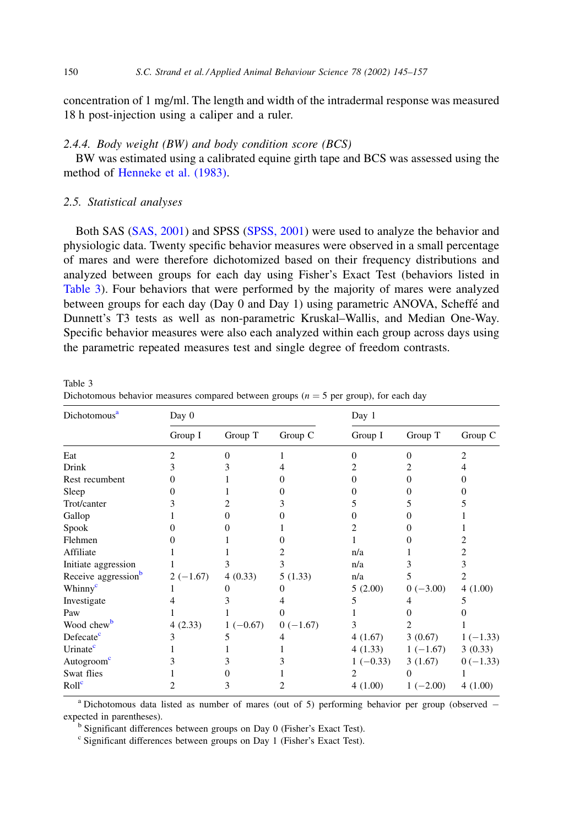<span id="page-5-0"></span>concentration of 1 mg/ml. The length and width of the intradermal response was measured 18 h post-injection using a caliper and a ruler.

## 2.4.4. Body weight (BW) and body condition score (BCS)

BW was estimated using a calibrated equine girth tape and BCS was assessed using the method of Henneke et al. (1983).

# 2.5. Statistical analyses

Both SAS (SAS, 2001) and SPSS (SPSS, 2001) were used to analyze the behavior and physiologic data. Twenty specific behavior measures were observed in a small percentage of mares and were therefore dichotomized based on their frequency distributions and analyzed between groups for each day using Fisher's Exact Test (behaviors listed in Table 3). Four behaviors that were performed by the majority of mares were analyzed between groups for each day (Day 0 and Day 1) using parametric ANOVA, Scheffé and Dunnett's T3 tests as well as non-parametric Kruskal–Wallis, and Median One-Way. Specific behavior measures were also each analyzed within each group across days using the parametric repeated measures test and single degree of freedom contrasts.

Table 3 Dichotomous behavior measures compared between groups ( $n = 5$  per group), for each day

| Dichotomous <sup>a</sup>        | Day 0      |            |            | Day 1      |            |            |
|---------------------------------|------------|------------|------------|------------|------------|------------|
|                                 | Group I    | Group T    | Group C    | Group I    | Group T    | Group C    |
| Eat                             |            |            |            | 0          | 0          | 2          |
| Drink                           |            |            |            |            |            |            |
| Rest recumbent                  |            |            |            |            |            |            |
| Sleep                           |            |            |            |            |            |            |
| Trot/canter                     |            |            |            |            |            |            |
| Gallop                          |            |            |            |            |            |            |
| Spook                           |            |            |            |            |            |            |
| Flehmen                         |            |            |            |            |            |            |
| Affiliate                       |            |            |            | n/a        |            | 2          |
| Initiate aggression             |            |            |            | n/a        |            | 3          |
| Receive aggression <sup>b</sup> | $2(-1.67)$ | 4(0.33)    | 5(1.33)    | n/a        | 5          | 2          |
| Whinny <sup>c</sup>             |            |            |            | 5(2.00)    | $0(-3.00)$ | 4(1.00)    |
| Investigate                     |            |            |            | 5          | 4          |            |
| Paw                             |            |            |            |            |            |            |
| Wood chew <sup>b</sup>          | 4(2.33)    | $1(-0.67)$ | $0(-1.67)$ | 3          |            |            |
| Defecate <sup>c</sup>           |            |            |            | 4(1.67)    | 3(0.67)    | $1(-1.33)$ |
| Urinate <sup>c</sup>            |            |            |            | 4(1.33)    | $1(-1.67)$ | 3(0.33)    |
| Autogroom <sup>c</sup>          |            |            |            | $1(-0.33)$ | 3(1.67)    | $0(-1.33)$ |
| Swat flies                      |            |            |            |            | 0          |            |
| Roll <sup>c</sup>               |            |            |            | 4(1.00)    | $1(-2.00)$ | 4(1.00)    |

<sup>a</sup> Dichotomous data listed as number of mares (out of 5) performing behavior per group (observed  $$ expected in parentheses).

<sup>b</sup> Significant differences between groups on Day 0 (Fisher's Exact Test).

<sup>c</sup> Significant differences between groups on Day 1 (Fisher's Exact Test).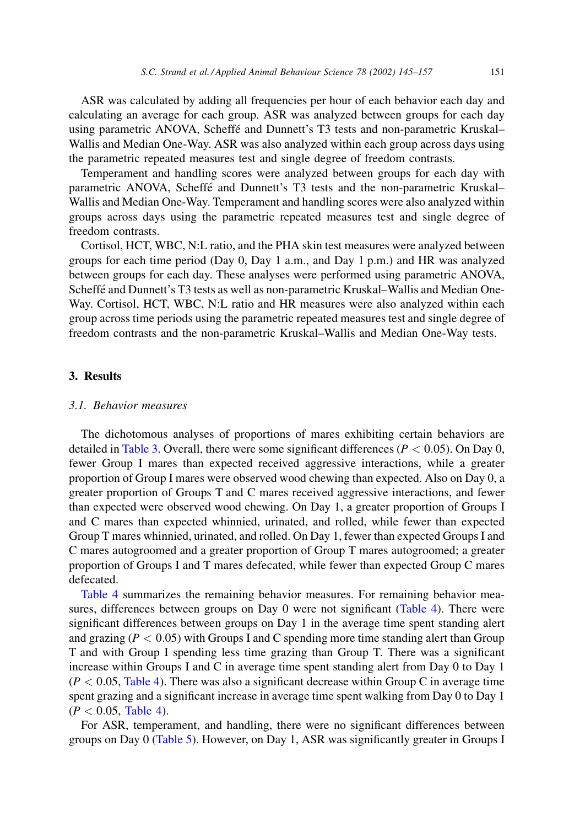ASR was calculated by adding all frequencies per hour of each behavior each day and calculating an average for each group. ASR was analyzed between groups for each day using parametric ANOVA, Scheffé and Dunnett's T3 tests and non-parametric Kruskal-Wallis and Median One-Way. ASR was also analyzed within each group across days using the parametric repeated measures test and single degree of freedom contrasts.

Temperament and handling scores were analyzed between groups for each day with parametric ANOVA, Scheffé and Dunnett's T3 tests and the non-parametric Kruskal-Wallis and Median One-Way. Temperament and handling scores were also analyzed within groups across days using the parametric repeated measures test and single degree of freedom contrasts.

Cortisol, HCT, WBC, N:L ratio, and the PHA skin test measures were analyzed between groups for each time period (Day 0, Day 1 a.m., and Day 1 p.m.) and HR was analyzed between groups for each day. These analyses were performed using parametric ANOVA, Scheffé and Dunnett's T3 tests as well as non-parametric Kruskal-Wallis and Median One-Way. Cortisol, HCT, WBC, N:L ratio and HR measures were also analyzed within each group across time periods using the parametric repeated measures test and single degree of freedom contrasts and the non-parametric Kruskal–Wallis and Median One-Way tests.

#### 3. Results

## 3.1. Behavior measures

The dichotomous analyses of proportions of mares exhibiting certain behaviors are detailed in Table 3. Overall, there were some significant differences ( $P < 0.05$ ). On Day 0, fewer Group I mares than expected received aggressive interactions, while a greater proportion of Group I mares were observed wood chewing than expected. Also on Day 0, a greater proportion of Groups T and C mares received aggressive interactions, and fewer than expected were observed wood chewing. On Day 1, a greater proportion of Groups I and C mares than expected whinnied, urinated, and rolled, while fewer than expected Group T mares whinnied, urinated, and rolled. On Day 1, fewer than expected Groups I and C mares autogroomed and a greater proportion of Group T mares autogroomed; a greater proportion of Groups I and T mares defecated, while fewer than expected Group C mares defecated.

Table 4 summarizes the remaining behavior measures. For remaining behavior measures, differences between groups on Day 0 were not significant (Table 4). There were significant differences between groups on Day 1 in the average time spent standing alert and grazing ( $P < 0.05$ ) with Groups I and C spending more time standing alert than Group T and with Group I spending less time grazing than Group T. There was a significant increase within Groups I and C in average time spent standing alert from Day 0 to Day 1  $(P < 0.05$ , Table 4). There was also a significant decrease within Group C in average time spent grazing and a significant increase in average time spent walking from Day 0 to Day 1  $(P < 0.05,$  Table 4).

For ASR, temperament, and handling, there were no significant differences between groups on Day 0 (Table 5). However, on Day 1, ASR was significantly greater in Groups I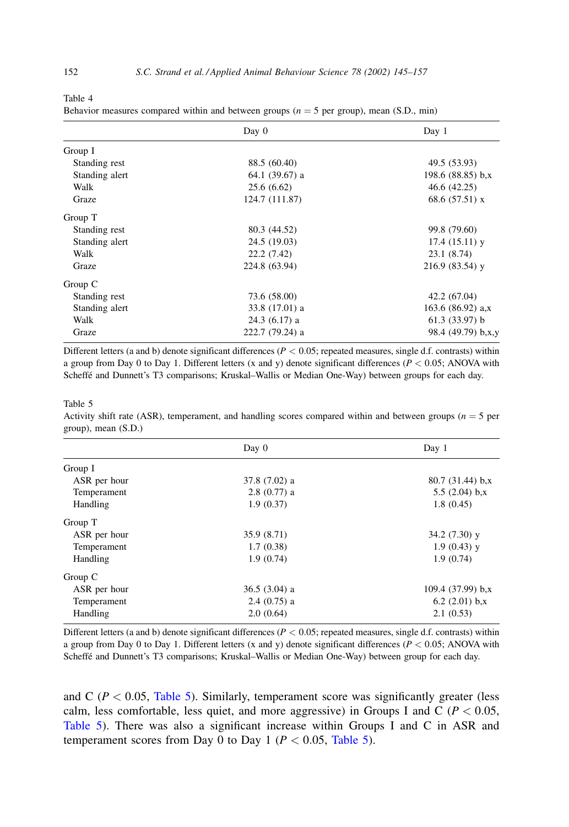| г |  |
|---|--|
|---|--|

Behavior measures compared within and between groups ( $n = 5$  per group), mean (S.D., min)

| Day 0          |                 | Day 1               |  |
|----------------|-----------------|---------------------|--|
| Group I        |                 |                     |  |
| Standing rest  | 88.5 (60.40)    | 49.5 (53.93)        |  |
| Standing alert | 64.1 (39.67) a  | 198.6 $(88.85)$ b,x |  |
| Walk           | 25.6(6.62)      | 46.6 (42.25)        |  |
| Graze          | 124.7 (111.87)  | 68.6 $(57.51)$ x    |  |
| Group T        |                 |                     |  |
| Standing rest  | 80.3 (44.52)    | 99.8 (79.60)        |  |
| Standing alert | 24.5 (19.03)    | $17.4(15.11)$ y     |  |
| Walk           | 22.2(7.42)      | 23.1 (8.74)         |  |
| Graze          | 224.8 (63.94)   | $216.9(83.54)$ y    |  |
| Group C        |                 |                     |  |
| Standing rest  | 73.6 (58.00)    | 42.2 (67.04)        |  |
| Standing alert | 33.8 (17.01) a  | 163.6 $(86.92)$ a.x |  |
| Walk           | $24.3(6.17)$ a  | $61.3(33.97)$ b     |  |
| Graze          | 222.7 (79.24) a | 98.4 (49.79) b,x,y  |  |

Different letters (a and b) denote significant differences ( $P < 0.05$ ; repeated measures, single d.f. contrasts) within a group from Day 0 to Day 1. Different letters (x and y) denote significant differences ( $P < 0.05$ ; ANOVA with Scheffé and Dunnett's T3 comparisons; Kruskal-Wallis or Median One-Way) between groups for each day.

Table 5

Activity shift rate (ASR), temperament, and handling scores compared within and between groups ( $n = 5$  per  $($ S.D. $)$ , mean  $(S.D.)$ 

|              | Day 0          | Day 1              |
|--------------|----------------|--------------------|
| Group I      |                |                    |
| ASR per hour | 37.8 (7.02) a  | $80.7(31.44)$ b,x  |
| Temperament  | $2.8(0.77)$ a  | 5.5 $(2.04)$ b,x   |
| Handling     | 1.9(0.37)      | 1.8(0.45)          |
| Group T      |                |                    |
| ASR per hour | 35.9 (8.71)    | $34.2(7.30)$ y     |
| Temperament  | 1.7(0.38)      | $1.9(0.43)$ y      |
| Handling     | 1.9(0.74)      | 1.9(0.74)          |
| Group C      |                |                    |
| ASR per hour | $36.5(3.04)$ a | $109.4(37.99)$ b,x |
| Temperament  | $2.4(0.75)$ a  | 6.2 $(2.01)$ b,x   |
| Handling     | 2.0(0.64)      | 2.1(0.53)          |

Different letters (a and b) denote significant differences ( $P < 0.05$ ; repeated measures, single d.f. contrasts) within a group from Day 0 to Day 1. Different letters (x and y) denote significant differences ( $P < 0.05$ ; ANOVA with Scheffé and Dunnett's T3 comparisons; Kruskal-Wallis or Median One-Way) between group for each day.

and C ( $P < 0.05$ , Table 5). Similarly, temperament score was significantly greater (less calm, less comfortable, less quiet, and more aggressive) in Groups I and C ( $P < 0.05$ , Table 5). There was also a significant increase within Groups I and C in ASR and temperament scores from Day 0 to Day 1 ( $P < 0.05$ , Table 5).

<span id="page-7-0"></span>152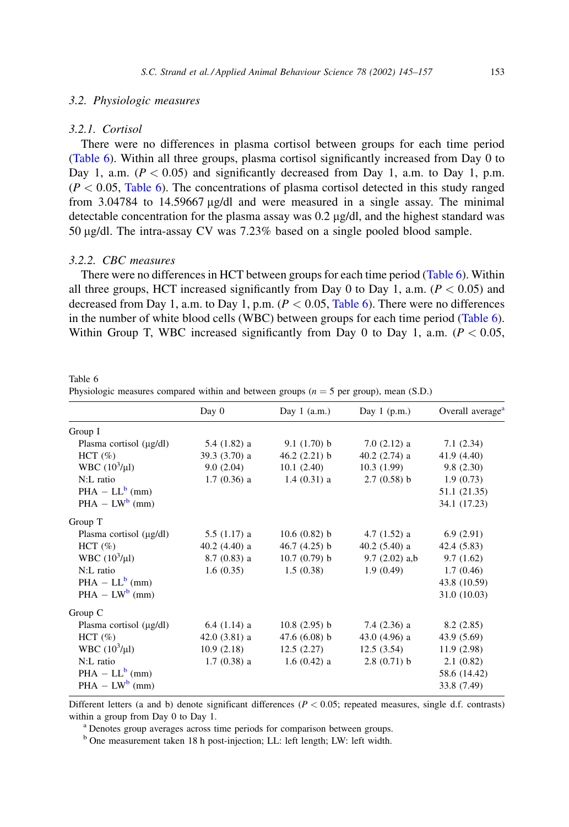## <span id="page-8-0"></span>3.2. Physiologic measures

#### 3.2.1. Cortisol

There were no differences in plasma cortisol between groups for each time period (Table 6). Within all three groups, plasma cortisol significantly increased from Day 0 to Day 1, a.m.  $(P < 0.05)$  and significantly decreased from Day 1, a.m. to Day 1, p.m.  $(P < 0.05$ , Table 6). The concentrations of plasma cortisol detected in this study ranged from 3.04784 to 14.59667  $\mu$ g/dl and were measured in a single assay. The minimal detectable concentration for the plasma assay was  $0.2 \mu g/dl$ , and the highest standard was 50 µg/dl. The intra-assay CV was 7.23% based on a single pooled blood sample.

## 3.2.2. CBC measures

Table 6

There were no differences in HCT between groups for each time period (Table 6). Within all three groups, HCT increased significantly from Day 0 to Day 1, a.m. ( $P < 0.05$ ) and decreased from Day 1, a.m. to Day 1, p.m.  $(P < 0.05,$  Table 6). There were no differences in the number of white blood cells (WBC) between groups for each time period (Table 6). Within Group T, WBC increased significantly from Day 0 to Day 1, a.m.  $(P < 0.05$ ,

|                              | Day 0          | Day $1$ (a.m.)  | Day $1$ (p.m.)  | Overall average <sup>®</sup> |  |
|------------------------------|----------------|-----------------|-----------------|------------------------------|--|
| Group $I$                    |                |                 |                 |                              |  |
| Plasma cortisol $(\mu g/dl)$ | $5.4(1.82)$ a  | 9.1(1.70) b     | $7.0(2.12)$ a   | 7.1(2.34)                    |  |
| HCT $(\%)$                   | $39.3(3.70)$ a | 46.2 $(2.21)$ b | $40.2$ (2.74) a | 41.9 (4.40)                  |  |
| WBC $(10^3/\mu l)$           | 9.0(2.04)      | 10.1(2.40)      | 10.3(1.99)      | 9.8(2.30)                    |  |
| N:L ratio                    | $1.7(0.36)$ a  | $1.4(0.31)$ a   | 2.7(0.58) b     | 1.9(0.73)                    |  |
| $PHA - LL^b$ (mm)            |                |                 |                 | 51.1 (21.35)                 |  |
| $PHA - LW^{b}$ (mm)          |                |                 |                 | 34.1 (17.23)                 |  |
| Group T                      |                |                 |                 |                              |  |
| Plasma cortisol $(\mu g/dl)$ | $5.5(1.17)$ a  | 10.6(0.82) b    | $4.7(1.52)$ a   | 6.9(2.91)                    |  |
| HCT $(\%)$                   | $40.2(4.40)$ a | 46.7 $(4.25)$ b | $40.2(5.40)$ a  | 42.4 (5.83)                  |  |
| WBC $(10^3/\mu l)$           | $8.7(0.83)$ a  | 10.7(0.79) b    | $9.7(2.02)$ a,b | 9.7(1.62)                    |  |
| N:L ratio                    | 1.6(0.35)      | 1.5(0.38)       | 1.9(0.49)       | 1.7(0.46)                    |  |
| $PHA - LL^b$ (mm)            |                |                 |                 | 43.8 (10.59)                 |  |
| $PHA - LW^{b}$ (mm)          |                |                 |                 | 31.0 (10.03)                 |  |
| Group C                      |                |                 |                 |                              |  |
| Plasma cortisol $(\mu g/dl)$ | $6.4(1.14)$ a  | $10.8(2.95)$ b  | $7.4(2.36)$ a   | 8.2(2.85)                    |  |
| HCT $(\%)$                   | $42.0(3.81)$ a | 47.6 $(6.08)$ b | 43.0 $(4.96)$ a | 43.9 (5.69)                  |  |
| WBC $(10^3/\mu l)$           | 10.9(2.18)     | 12.5(2.27)      | 12.5(3.54)      | 11.9(2.98)                   |  |
| N:L ratio                    | $1.7(0.38)$ a  | $1.6(0.42)$ a   | 2.8(0.71) b     | 2.1(0.82)                    |  |
| $PHA - LL^b$ (mm)            |                |                 |                 | 58.6 (14.42)                 |  |
| $PHA - LW^{b}$ (mm)          |                |                 |                 | 33.8 (7.49)                  |  |

Physiologic measures compared within and between groups ( $n = 5$  per group), mean (S.D.)

Different letters (a and b) denote significant differences ( $P < 0.05$ ; repeated measures, single d.f. contrasts) within a group from Day  $0$  to Day 1.

<sup>a</sup> Denotes group averages across time periods for comparison between groups.

<sup>b</sup> One measurement taken 18 h post-injection; LL: left length; LW: left width.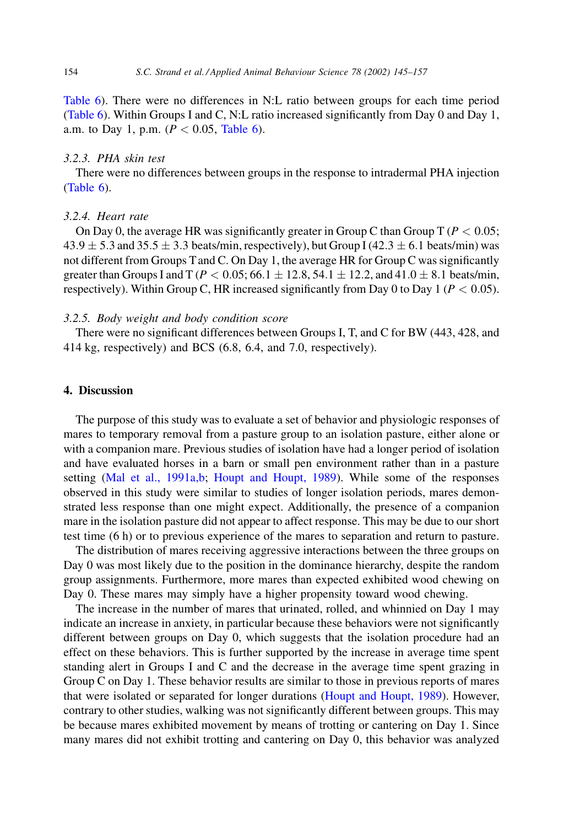Table 6). There were no differences in N:L ratio between groups for each time period (Table 6). Within Groups I and C, N:L ratio increased significantly from Day 0 and Day 1, a.m. to Day 1, p.m. ( $P < 0.05$ , Table 6).

# 3.2.3. PHA skin test

There were no differences between groups in the response to intradermal PHA injection  $(Table 6)$ .

## 3.2.4. Heart rate

On Day 0, the average HR was significantly greater in Group C than Group T ( $P < 0.05$ ;  $43.9 \pm 5.3$  and  $35.5 \pm 3.3$  beats/min, respectively), but Group I (42.3  $\pm$  6.1 beats/min) was not different from Groups T and C. On Day 1, the average HR for Group C was significantly greater than Groups I and T ( $P < 0.05$ ; 66.1  $\pm$  12.8, 54.1  $\pm$  12.2, and 41.0  $\pm$  8.1 beats/min, respectively). Within Group C, HR increased significantly from Day 0 to Day 1 ( $P < 0.05$ ).

## 3.2.5. Body weight and body condition score

There were no significant differences between Groups I, T, and C for BW (443, 428, and 414 kg, respectively) and BCS (6.8, 6.4, and 7.0, respectively).

# 4. Discussion

The purpose of this study was to evaluate a set of behavior and physiologic responses of mares to temporary removal from a pasture group to an isolation pasture, either alone or with a companion mare. Previous studies of isolation have had a longer period of isolation and have evaluated horses in a barn or small pen environment rather than in a pasture setting (Mal et al., 1991a,b; Houpt and Houpt, 1989). While some of the responses observed in this study were similar to studies of longer isolation periods, mares demonstrated less response than one might expect. Additionally, the presence of a companion mare in the isolation pasture did not appear to affect response. This may be due to our short test time  $(6 h)$  or to previous experience of the mares to separation and return to pasture.

The distribution of mares receiving aggressive interactions between the three groups on Day 0 was most likely due to the position in the dominance hierarchy, despite the random group assignments. Furthermore, more mares than expected exhibited wood chewing on Day 0. These mares may simply have a higher propensity toward wood chewing.

The increase in the number of mares that urinated, rolled, and whinnied on Day 1 may indicate an increase in anxiety, in particular because these behaviors were not significantly different between groups on Day 0, which suggests that the isolation procedure had an effect on these behaviors. This is further supported by the increase in average time spent standing alert in Groups I and C and the decrease in the average time spent grazing in Group C on Day 1. These behavior results are similar to those in previous reports of mares that were isolated or separated for longer durations (Houpt and Houpt, 1989). However, contrary to other studies, walking was not significantly different between groups. This may be because mares exhibited movement by means of trotting or cantering on Day 1. Since many mares did not exhibit trotting and cantering on Day 0, this behavior was analyzed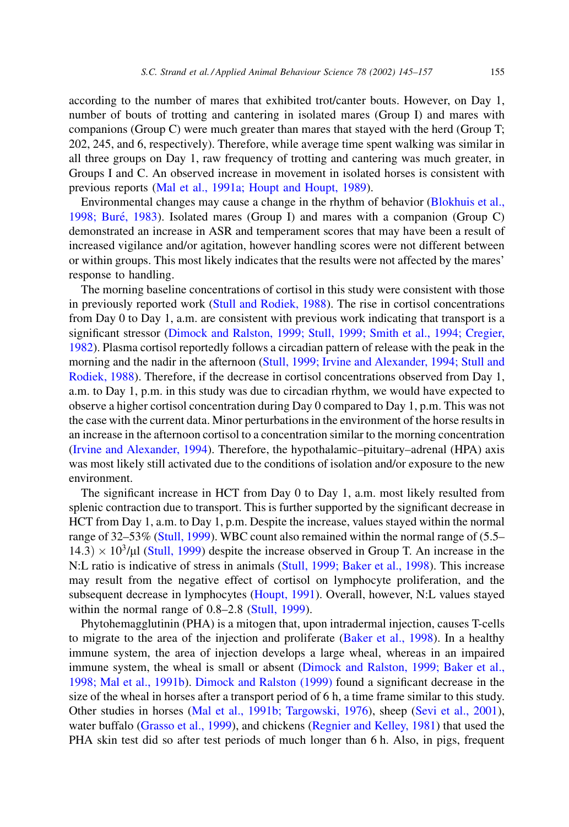according to the number of mares that exhibited trot/canter bouts. However, on Day 1, number of bouts of trotting and cantering in isolated mares (Group I) and mares with companions (Group C) were much greater than mares that stayed with the herd (Group T; 202, 245, and 6, respectively). Therefore, while average time spent walking was similar in all three groups on Day 1, raw frequency of trotting and cantering was much greater, in Groups I and C. An observed increase in movement in isolated horses is consistent with previous reports (Mal et al., 1991a; Houpt and Houpt, 1989).

Environmental changes may cause a change in the rhythm of behavior (Blokhuis et al., 1998; Buré, 1983). Isolated mares (Group I) and mares with a companion (Group C) demonstrated an increase in ASR and temperament scores that may have been a result of increased vigilance and/or agitation, however handling scores were not different between or within groups. This most likely indicates that the results were not affected by the mares' response to handling.

The morning baseline concentrations of cortisol in this study were consistent with those in previously reported work (Stull and Rodiek, 1988). The rise in cortisol concentrations from Day 0 to Day 1, a.m. are consistent with previous work indicating that transport is a significant stressor (Dimock and Ralston, 1999; Stull, 1999; Smith et al., 1994; Cregier, 1982). Plasma cortisol reportedly follows a circadian pattern of release with the peak in the morning and the nadir in the afternoon (Stull, 1999; Irvine and Alexander, 1994; Stull and Rodiek, 1988). Therefore, if the decrease in cortisol concentrations observed from Day 1, a.m. to Day 1, p.m. in this study was due to circadian rhythm, we would have expected to observe a higher cortisol concentration during Day 0 compared to Day 1, p.m. This was not the case with the current data. Minor perturbations in the environment of the horse results in an increase in the afternoon cortisol to a concentration similar to the morning concentration (Irvine and Alexander, 1994). Therefore, the hypothalamic-pituitary-adrenal (HPA) axis was most likely still activated due to the conditions of isolation and/or exposure to the new environment.

The significant increase in HCT from Day 0 to Day 1, a.m. most likely resulted from splenic contraction due to transport. This is further supported by the significant decrease in HCT from Day 1, a.m. to Day 1, p.m. Despite the increase, values stayed within the normal range of 32–53% (Stull, 1999). WBC count also remained within the normal range of (5.5–  $(14.3) \times 10^{3}/\mu$  (Stull, 1999) despite the increase observed in Group T. An increase in the N:L ratio is indicative of stress in animals (Stull, 1999; Baker et al., 1998). This increase may result from the negative effect of cortisol on lymphocyte proliferation, and the subsequent decrease in lymphocytes (Houpt, 1991). Overall, however, N:L values stayed within the normal range of  $0.8-2.8$  (Stull, 1999).

Phytohemagglutinin (PHA) is a mitogen that, upon intradermal injection, causes T-cells to migrate to the area of the injection and proliferate (Baker et al., 1998). In a healthy immune system, the area of injection develops a large wheal, whereas in an impaired immune system, the wheal is small or absent (Dimock and Ralston, 1999; Baker et al., 1998; Mal et al., 1991b). Dimock and Ralston (1999) found a significant decrease in the size of the wheal in horses after a transport period of 6 h, a time frame similar to this study. Other studies in horses (Mal et al., 1991b; Targowski, 1976), sheep (Sevi et al., 2001), water buffalo (Grasso et al., 1999), and chickens (Regnier and Kelley, 1981) that used the PHA skin test did so after test periods of much longer than 6 h. Also, in pigs, frequent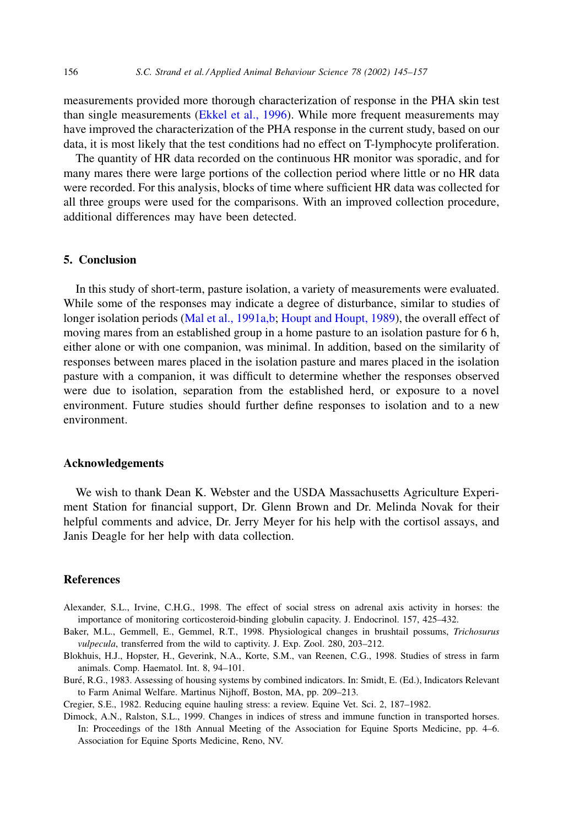<span id="page-11-0"></span>measurements provided more thorough characterization of response in the PHA skin test than single measurements (Ekkel et al., 1996). While more frequent measurements may have improved the characterization of the PHA response in the current study, based on our data, it is most likely that the test conditions had no effect on T-lymphocyte proliferation.

The quantity of HR data recorded on the continuous HR monitor was sporadic, and for many mares there were large portions of the collection period where little or no HR data were recorded. For this analysis, blocks of time where sufficient HR data was collected for all three groups were used for the comparisons. With an improved collection procedure, additional differences may have been detected.

# 5. Conclusion

In this study of short-term, pasture isolation, a variety of measurements were evaluated. While some of the responses may indicate a degree of disturbance, similar to studies of longer isolation periods (Mal et al., 1991a,b; Houpt and Houpt, 1989), the overall effect of moving mares from an established group in a home pasture to an isolation pasture for 6 h, either alone or with one companion, was minimal. In addition, based on the similarity of responses between mares placed in the isolation pasture and mares placed in the isolation pasture with a companion, it was difficult to determine whether the responses observed were due to isolation, separation from the established herd, or exposure to a novel environment. Future studies should further define responses to isolation and to a new environment.

#### **Acknowledgements**

We wish to thank Dean K. Webster and the USDA Massachusetts Agriculture Experiment Station for financial support, Dr. Glenn Brown and Dr. Melinda Novak for their helpful comments and advice, Dr. Jerry Meyer for his help with the cortisol assays, and Janis Deagle for her help with data collection.

## **References**

- Alexander, S.L., Irvine, C.H.G., 1998. The effect of social stress on adrenal axis activity in horses: the importance of monitoring corticosteroid-binding globulin capacity. J. Endocrinol. 157, 425–432.
- Baker, M.L., Gemmell, E., Gemmel, R.T., 1998. Physiological changes in brushtail possums, Trichosurus vulpecula, transferred from the wild to captivity. J. Exp. Zool. 280, 203-212.
- Blokhuis, H.J., Hopster, H., Geverink, N.A., Korte, S.M., van Reenen, C.G., 1998. Studies of stress in farm animals. Comp. Haematol. Int. 8, 94-101.
- Buré, R.G., 1983. Assessing of housing systems by combined indicators. In: Smidt, E. (Ed.), Indicators Relevant to Farm Animal Welfare. Martinus Nijhoff, Boston, MA, pp. 209-213.

Cregier, S.E., 1982. Reducing equine hauling stress: a review. Equine Vet. Sci. 2, 187-1982.

Dimock, A.N., Ralston, S.L., 1999. Changes in indices of stress and immune function in transported horses. In: Proceedings of the 18th Annual Meeting of the Association for Equine Sports Medicine, pp. 4–6. Association for Equine Sports Medicine, Reno, NV.